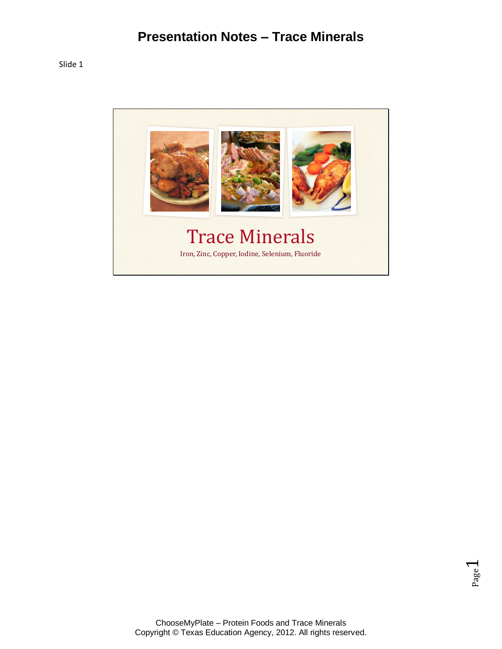

Page  $\overline{\phantom{0}}$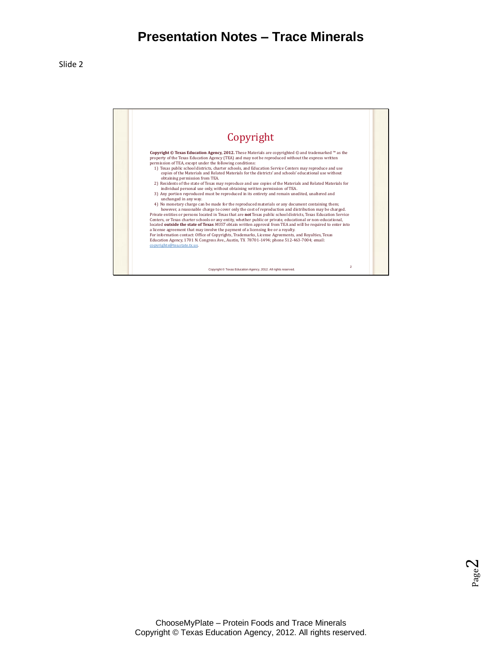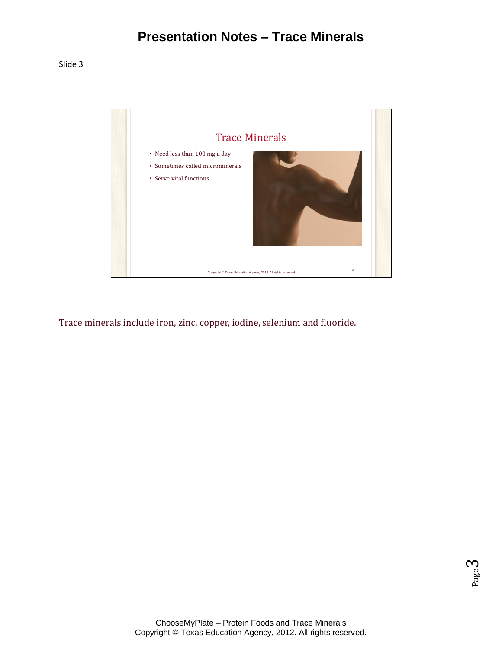

Trace minerals include iron, zinc, copper, iodine, selenium and fluoride.

Page ო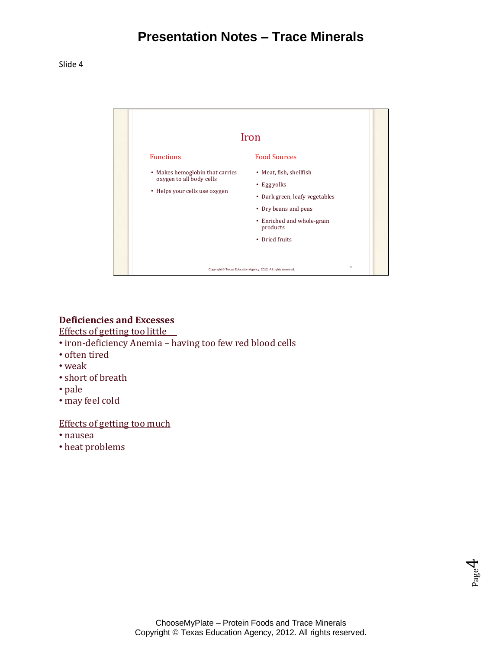Slide 4



### **Deficiencies and Excesses**

Effects of getting too little

- iron-deficiency Anemia having too few red blood cells
- often tired
- weak
- short of breath
- pale
- may feel cold

#### Effects of getting too much

- nausea
- heat problems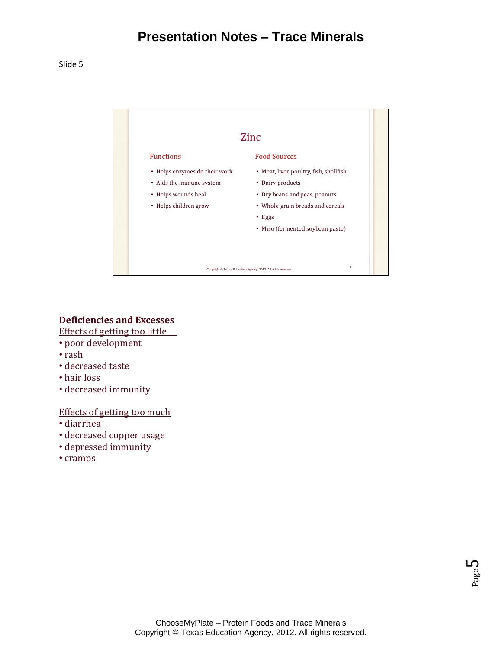

### **Deficiencies and Excesses**

Effects of getting too little

- poor development
- rash
- decreased taste
- hair loss
- decreased immunity

#### Effects of getting too much

- diarrhea
- decreased copper usage
- depressed immunity
- cramps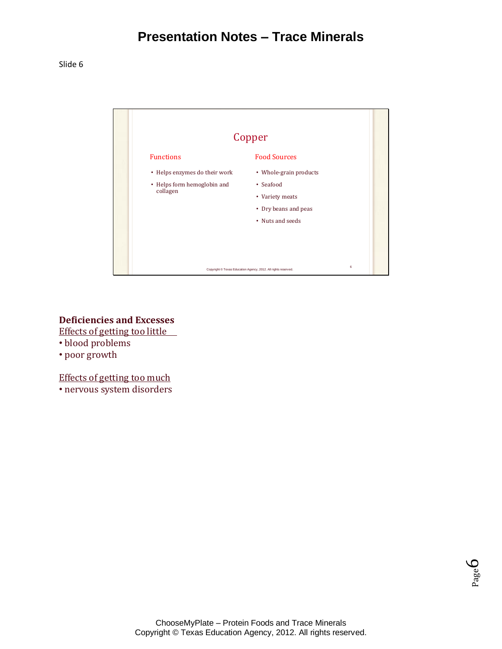

**Deficiencies and Excesses** Effects of getting too little

- blood problems
- poor growth

Effects of getting too much

• nervous system disorders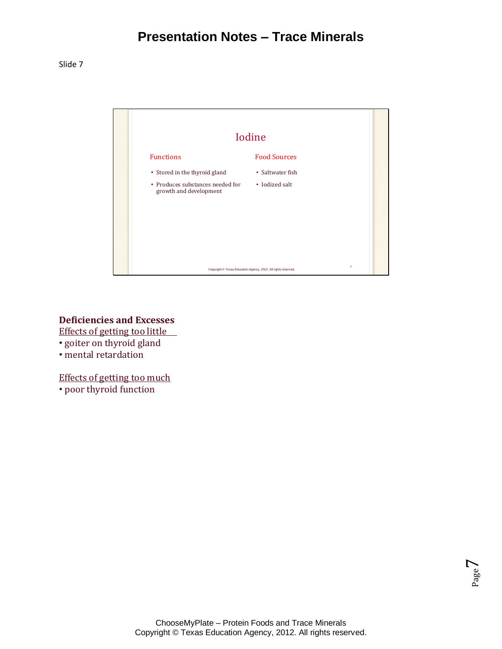

**Deficiencies and Excesses**

Effects of getting too little

- goiter on thyroid gland
- mental retardation

Effects of getting too much

• poor thyroid function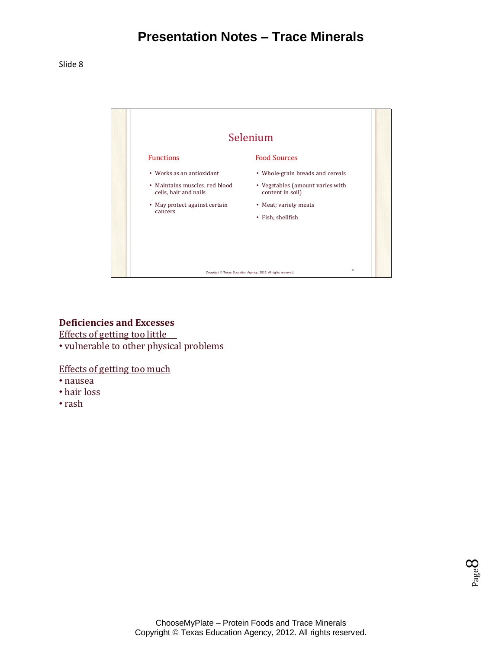Slide 8



### **Deficiencies and Excesses**

Effects of getting too little

• vulnerable to other physical problems

Effects of getting too much

- nausea
- hair loss
- rash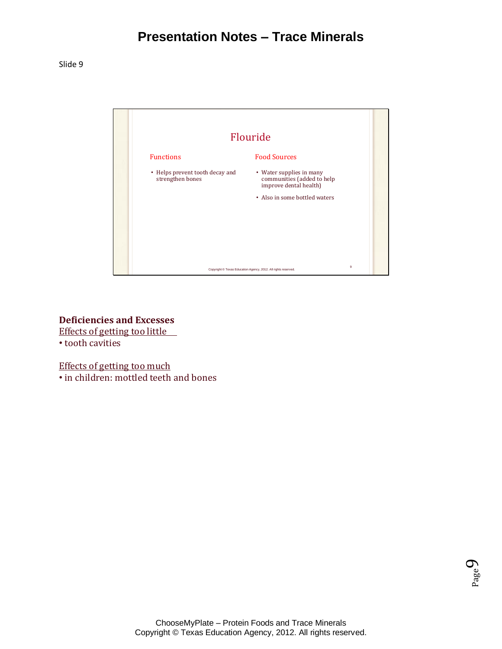

**Deficiencies and Excesses** Effects of getting too little • tooth cavities

Effects of getting too much • in children: mottled teeth and bones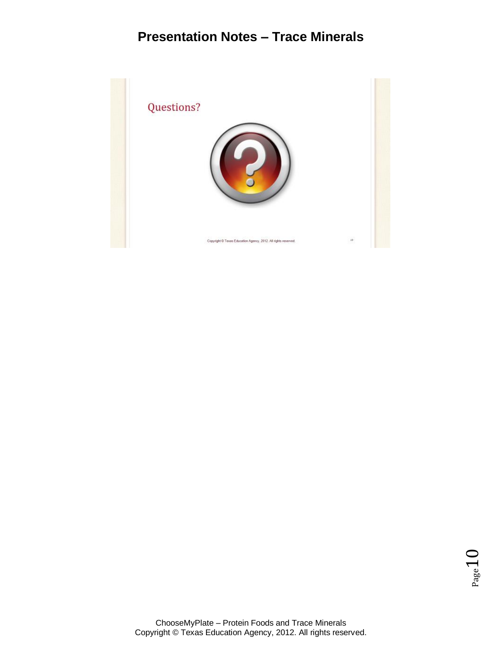